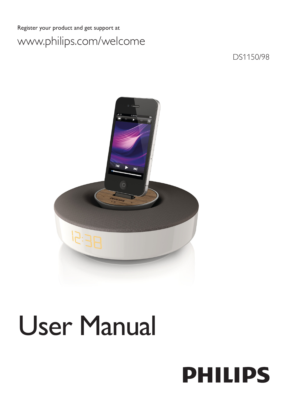# Register your product and get support at www.philips.com/welcome

DS1150/98



# User Manual

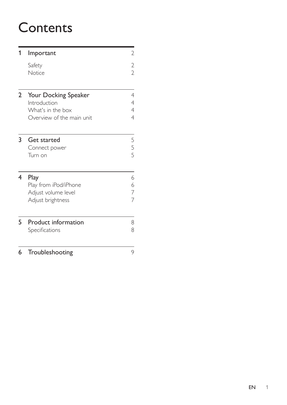# **Contents**

| 1 | Important                                                                              | 2                   |
|---|----------------------------------------------------------------------------------------|---------------------|
|   | Safety<br>Notice                                                                       | 2<br>$\overline{2}$ |
| 2 | Your Docking Speaker<br>Introduction<br>What's in the box<br>Overview of the main unit | 4<br>4<br>4<br>4    |
| 3 | Get started<br>Connect power<br>Turn on                                                | 5<br>5<br>5         |
| 4 | Play<br>Play from iPod/iPhone<br>Adjust volume level<br>Adjust brightness              | 6<br>6<br>7<br>7    |
| 5 | <b>Product information</b><br>Specifications                                           | 8<br>8              |
| 6 | Troubleshooting                                                                        | 9                   |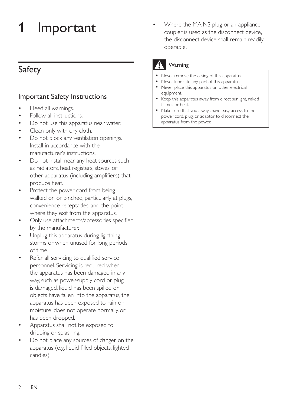# <span id="page-2-0"></span>**Important**

# Safety

### Important Safety Instructions

- Heed all warnings.
- Follow all instructions.
- Do not use this apparatus near water.
- Clean only with dry cloth.
- Do not block any ventilation openings. Install in accordance with the manufacturer's instructions.
- Do not install near any heat sources such as radiators, heat registers, stoves, or other apparatus (including amplifiers) that produce heat.
- Protect the power cord from being walked on or pinched, particularly at plugs, convenience receptacles, and the point where they exit from the apparatus.
- Only use attachments/accessories specified by the manufacturer.
- Unplug this apparatus during lightning storms or when unused for long periods of time.
- Refer all servicing to qualified service personnel. Servicing is required when the apparatus has been damaged in any way, such as power-supply cord or plug is damaged, liquid has been spilled or objects have fallen into the apparatus, the apparatus has been exposed to rain or moisture, does not operate normally, or has been dropped.
- Apparatus shall not be exposed to dripping or splashing.
- Do not place any sources of danger on the apparatus (e.g. liquid filled objects, lighted candles).

Where the MAINS plug or an appliance coupler is used as the disconnect device, the disconnect device shall remain readily operable.

## **Warning**

- Never remove the casing of this apparatus.
- Never lubricate any part of this apparatus.
- Never place this apparatus on other electrical equipment.
- Keep this apparatus away from direct sunlight, naked flames or heat.
- Make sure that you always have easy access to the power cord, plug, or adaptor to disconnect the apparatus from the power.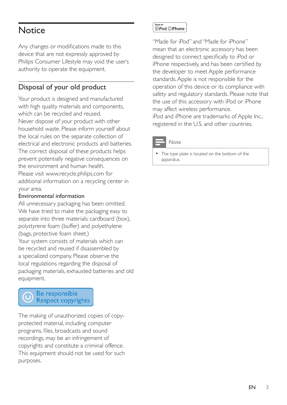# **Notice**

Any changes or modifications made to this device that are not expressly approved by Philips Consumer Lifestyle may void the user's authority to operate the equipment.

### Disposal of your old product

Your product is designed and manufactured with high quality materials and components, which can be recycled and reused. Never dispose of your product with other household waste. Please inform yourself about the local rules on the separate collection of electrical and electronic products and batteries. The correct disposal of these products helps prevent potentially negative consequences on the environment and human health. Please visit [www.recycle.philips.com](http://www.recycle.philips.com) for additional information on a recycling center in your area.

### Environmental information

All unnecessary packaging has been omitted. We have tried to make the packaging easy to separate into three materials: cardboard (box), polystyrene foam (buffer) and polyethylene (bags, protective foam sheet.) Your system consists of materials which can be recycled and reused if disassembled by a specialized company. Please observe the local regulations regarding the disposal of packaging materials, exhausted batteries and old equipment.

#### Be responsible **Respect copyrights**

The making of unauthorized copies of copyprotected material, including computer programs, files, broadcasts and sound recordings, may be an infringement of copyrights and constitute a criminal offence. This equipment should not be used for such purposes.

#### Made fo **SiPod** □iPhone

"Made for iPod" and "Made for iPhone" mean that an electronic accessory has been designed to connect specifically to iPod or iPhone respectively, and has been certified by the developer to meet Apple performance standards. Apple is not responsible for the operation of this device or its compliance with safety and regulatory standards. Please note that the use of this accessory with iPod or iPhone may affect wireless performance. iPod and iPhone are trademarks of Apple Inc., registered in the U.S. and other countries.

Note

The type plate is located on the bottom of the apparatus.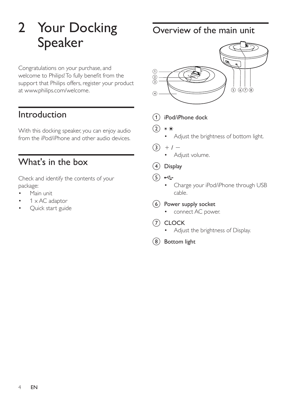# <span id="page-4-0"></span>2 Your Docking Speaker

Congratulations on your purchase, and welcome to Philips!To fully benefit from the support that Philips offers, register your product at www.philips.com/welcome.

# Introduction

With this docking speaker, you can enjoy audio from the iPod/iPhone and other audio devices.

# What's in the box

Check and identify the contents of your package:

- Main unit
- $1 \times AC$  adaptor
- Quick start guide

Overview of the main unit



- a iPod/iPhone dock
- $\Omega$ 米米
	- Adjust the brightness of bottom light.
- $(3) + 1 -$ 
	- Adjust volume.
- (4) Display
- $(5)$   $\leftarrow$ 
	- • Charge your iPod/iPhone through USB cable.
- $(6)$  Power supply socket
	- • connect AC power.
- $(7)$  CLOCK
	- Adjust the brightness of Display.
- (8) Bottom light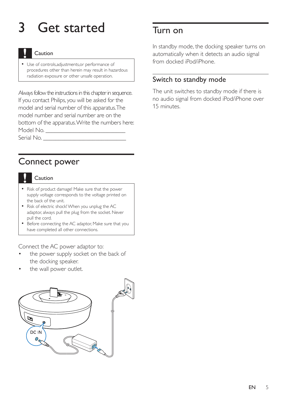# <span id="page-5-0"></span>3 Get started

### Caution

• Use of controls,adjustments,or performance of procedures other than herein may result in hazardous radiation exposure or other unsafe operation.

Always follow the instructions in this chapter in sequence. If you contact Philips, you will be asked for the model and serial number of this apparatus. The model number and serial number are on the bottom of the apparatus. Write the numbers here: Model No.

Serial No.

# Connect power

#### Caution

- Risk of product damage! Make sure that the power supply voltage corresponds to the voltage printed on the back of the unit.
- Risk of electric shock! When you unplug the AC adaptor, always pull the plug from the socket. Never pull the cord.
- Before connecting the AC adaptor, Make sure that you have completed all other connections.

Connect the AC power adaptor to:

- the power supply socket on the back of the docking speaker.
- the wall power outlet.



# Turn on

In standby mode, the docking speaker turns on automatically when it detects an audio signal from docked iPod/iPhone.

### Switch to standby mode

The unit switches to standby mode if there is no audio signal from docked iPod/iPhone over 15 minutes.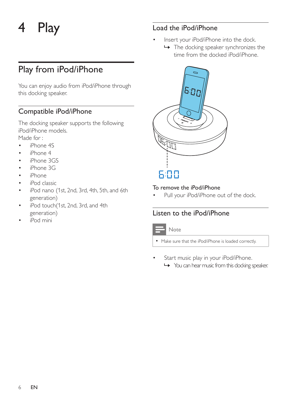# <span id="page-6-0"></span>4 Play

# Play from iPod/iPhone

You can enjoy audio from iPod/iPhone through this docking speaker.

### Compatible iPod/iPhone

The docking speaker supports the following iPod/iPhone models.

Made for :

- iPhone 4S
- iPhone 4
- iPhone 3GS
- iPhone 3G
- • iPhone
- • iPod classic
- • iPod nano (1st, 2nd, 3rd, 4th, 5th, and 6th generation)
- iPod touch(1st, 2nd, 3rd, and 4th generation)
- iPod mini

### Load the iPod/iPhone

- Insert your iPod/iPhone into the dock.
	- » The docking speaker synchronizes the time from the docked iPod/iPhone.



6:00

#### To remove the iPod/iPhone

Pull your iPod/iPhone out of the dock.

### Listen to the iPod/iPhone



• Make sure that the iPod/iPhone is loaded correctly.

Start music play in your iPod/iPhone. » You can hear music from this docking speaker.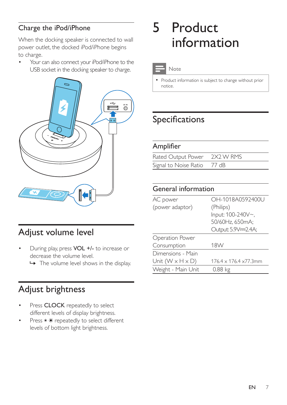### <span id="page-7-0"></span>Charge the iPod/iPhone

When the docking speaker is connected to wall power outlet, the docked iPod/iPhone begins to charge.

Your can also connect your iPod/iPhone to the USB socket in the docking speaker to charge.



# Adjust volume level

- During play, press VOL +/- to increase or decrease the volume level.
	- $\rightarrow$  The volume level shows in the display.

# Adjust brightness

- Press CLOCK repeatedly to select different levels of display brightness.
- Press \* \* repeatedly to select different levels of bottom light brightness.

# 5 Product information

#### Note

• Product information is subject to change without prior notice.

# Specifications

### Amplifier

| Rated Output Power 2X2 W RMS |  |
|------------------------------|--|
| Signal to Noise Ratio 77 dB  |  |

### General information

| AC power                     | OH-1018A0592400U                    |  |
|------------------------------|-------------------------------------|--|
| (power adaptor)              | (Philips)                           |  |
|                              | Input: 100-240V~,                   |  |
|                              | 50/60Hz, 650mA;                     |  |
|                              | Output: 5.9V==2.4A;                 |  |
| Operation Power              |                                     |  |
| Consumption                  | 18W                                 |  |
| Dimensions - Main            |                                     |  |
| Unit $(W \times H \times D)$ | $176.4 \times 176.4 \times 77.3$ mm |  |
| Weight - Main Unit           | 0.88 kg                             |  |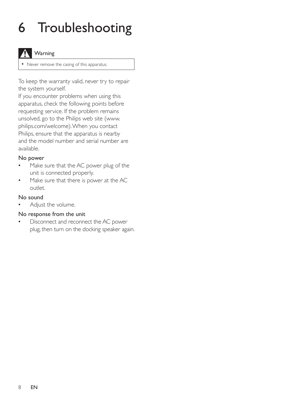# <span id="page-8-0"></span>6 Troubleshooting

### **Warning**

• Never remove the casing of this apparatus.

To keep the warranty valid, never try to repair the system yourself.

If you encounter problems when using this apparatus, check the following points before requesting service. If the problem remains unsolved, go to the Philips web site (www. philips.com/welcome).When you contact Philips, ensure that the apparatus is nearby and the model number and serial number are available.

#### No power

- Make sure that the AC power plug of the unit is connected properly.
- Make sure that there is power at the AC outlet.

#### No sound

Adjust the volume.

### No response from the unit

• Disconnect and reconnect the AC power plug, then turn on the docking speaker again.